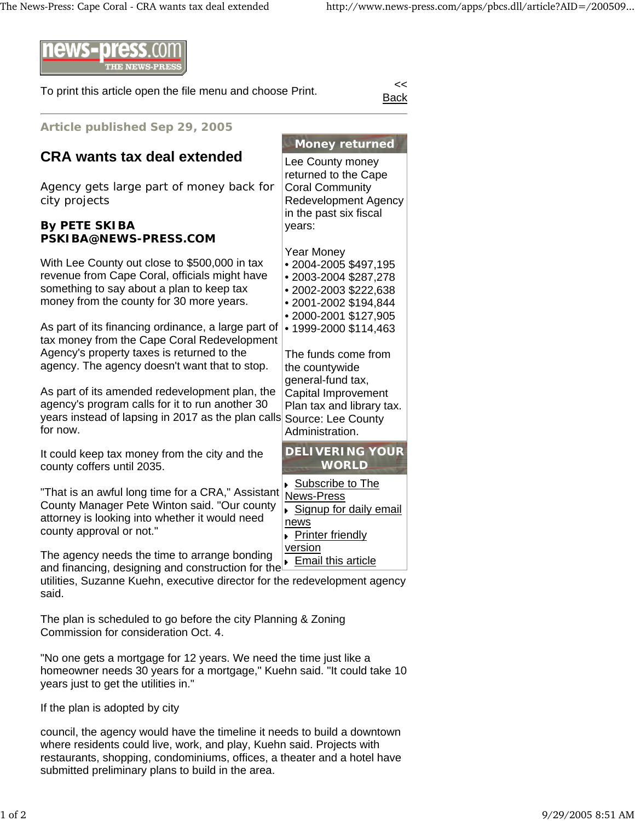

To print this article open the file menu and choose Print.

Back

| Article published Sep 29, 2005                                                                                                                                                                                                                                                                                                                                                                                                                                                                                                                                      |                                                                                                                                                                                                                                                                                                                                    |
|---------------------------------------------------------------------------------------------------------------------------------------------------------------------------------------------------------------------------------------------------------------------------------------------------------------------------------------------------------------------------------------------------------------------------------------------------------------------------------------------------------------------------------------------------------------------|------------------------------------------------------------------------------------------------------------------------------------------------------------------------------------------------------------------------------------------------------------------------------------------------------------------------------------|
| <b>CRA wants tax deal extended</b>                                                                                                                                                                                                                                                                                                                                                                                                                                                                                                                                  | <b>Money returned</b><br>Lee County money                                                                                                                                                                                                                                                                                          |
| Agency gets large part of money back for<br>city projects                                                                                                                                                                                                                                                                                                                                                                                                                                                                                                           | returned to the Cape<br><b>Coral Community</b><br><b>Redevelopment Agency</b><br>in the past six fiscal                                                                                                                                                                                                                            |
| <b>By PETE SKIBA</b><br>PSKIBA@NEWS-PRESS.COM                                                                                                                                                                                                                                                                                                                                                                                                                                                                                                                       | years:                                                                                                                                                                                                                                                                                                                             |
| With Lee County out close to \$500,000 in tax<br>revenue from Cape Coral, officials might have<br>something to say about a plan to keep tax<br>money from the county for 30 more years.<br>As part of its financing ordinance, a large part of<br>tax money from the Cape Coral Redevelopment<br>Agency's property taxes is returned to the<br>agency. The agency doesn't want that to stop.<br>As part of its amended redevelopment plan, the<br>agency's program calls for it to run another 30<br>years instead of lapsing in 2017 as the plan calls<br>for now. | <b>Year Money</b><br>• 2004-2005 \$497,195<br>• 2003-2004 \$287,278<br>• 2002-2003 \$222,638<br>• 2001-2002 \$194,844<br>• 2000-2001 \$127,905<br>• 1999-2000 \$114,463<br>The funds come from<br>the countywide<br>general-fund tax,<br>Capital Improvement<br>Plan tax and library tax.<br>Source: Lee County<br>Administration. |
| It could keep tax money from the city and the<br>county coffers until 2035.                                                                                                                                                                                                                                                                                                                                                                                                                                                                                         | <b>DELIVERING YOUR</b><br><b>WORLD</b>                                                                                                                                                                                                                                                                                             |
| "That is an awful long time for a CRA," Assistant<br>County Manager Pete Winton said. "Our county<br>attorney is looking into whether it would need<br>county approval or not."                                                                                                                                                                                                                                                                                                                                                                                     | ▶ Subscribe to The<br>News-Press<br>Signup for daily email<br>news<br>▶ Printer friendly                                                                                                                                                                                                                                           |
| The agency needs the time to arrange bonding<br>and financing, designing and construction for the<br>utilities, Suzanne Kuehn, executive director for the redevelopment agency<br>said.                                                                                                                                                                                                                                                                                                                                                                             | version<br>Email this article                                                                                                                                                                                                                                                                                                      |
| The plan is scheduled to go before the city Planning & Zoning                                                                                                                                                                                                                                                                                                                                                                                                                                                                                                       |                                                                                                                                                                                                                                                                                                                                    |

Commission for consideration Oct. 4.

"No one gets a mortgage for 12 years. We need the time just like a homeowner needs 30 years for a mortgage," Kuehn said. "It could take 10 years just to get the utilities in."

If the plan is adopted by city

council, the agency would have the timeline it needs to build a downtown where residents could live, work, and play, Kuehn said. Projects with restaurants, shopping, condominiums, offices, a theater and a hotel have submitted preliminary plans to build in the area.